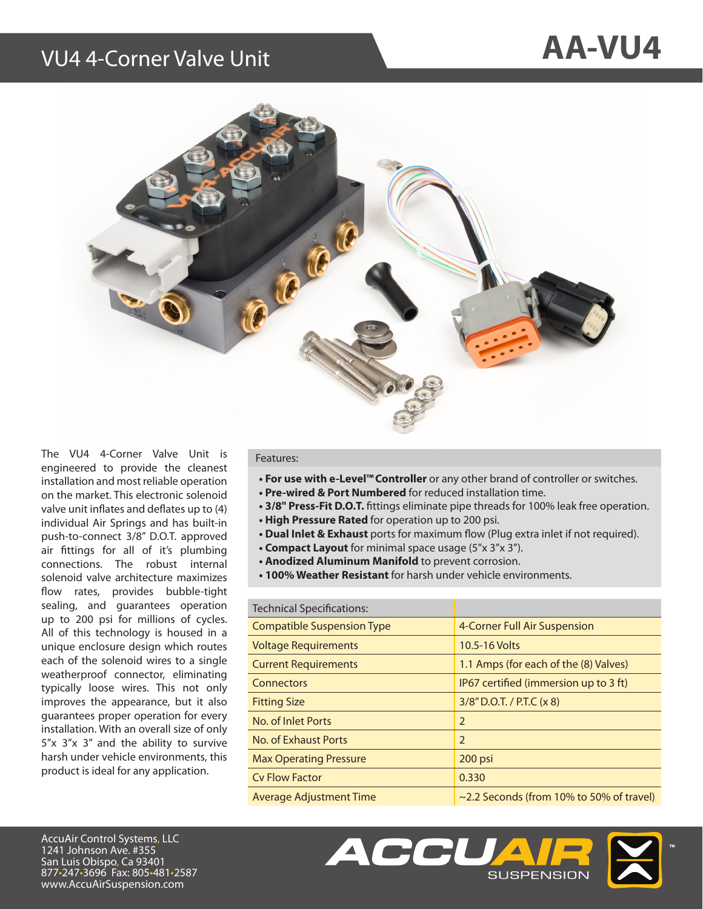## VU4 4-Corner Valve Unit **AA-VU4**



The VU4 4-Corner Valve Unit is engineered to provide the cleanest installation and most reliable operation on the market. This electronic solenoid valve unit inflates and deflates up to (4) individual Air Springs and has built-in push-to-connect 3/8" D.O.T. approved air fittings for all of it's plumbing connections. The robust internal solenoid valve architecture maximizes flow rates, provides bubble-tight sealing, and guarantees operation up to 200 psi for millions of cycles. All of this technology is housed in a unique enclosure design which routes each of the solenoid wires to a single weatherproof connector, eliminating typically loose wires. This not only improves the appearance, but it also guarantees proper operation for every installation. With an overall size of only 5"x 3"x 3" and the ability to survive harsh under vehicle environments, this product is ideal for any application.

## Features:

- **For use with e-Level™Controller** or any other brand of controller or switches.
- **Pre-wired & Port Numbered** for reduced installation time.
- **3/8" Press-Fit D.O.T.** fittings eliminate pipe threads for 100% leak free operation.
- **High Pressure Rated** for operation up to 200 psi.
- **Dual Inlet & Exhaust** ports for maximum flow (Plug extra inlet if not required).
- **Compact Layout** for minimal space usage (5"x 3"x 3").
- **Anodized Aluminum Manifold** to prevent corrosion.
- **100% Weather Resistant** for harsh under vehicle environments.

| <b>Technical Specifications:</b>  |                                                |
|-----------------------------------|------------------------------------------------|
| <b>Compatible Suspension Type</b> | 4-Corner Full Air Suspension                   |
| <b>Voltage Requirements</b>       | 10.5-16 Volts                                  |
| <b>Current Requirements</b>       | 1.1 Amps (for each of the (8) Valves)          |
| Connectors                        | IP67 certified (immersion up to 3 ft)          |
| <b>Fitting Size</b>               | $3/8''$ D.O.T. / P.T.C (x 8)                   |
| No. of Inlet Ports                | $\overline{2}$                                 |
| No. of Exhaust Ports              | $\overline{2}$                                 |
| <b>Max Operating Pressure</b>     | 200 psi                                        |
| Cy Flow Factor                    | 0.330                                          |
| Average Adjustment Time           | $\sim$ 2.2 Seconds (from 10% to 50% of travel) |